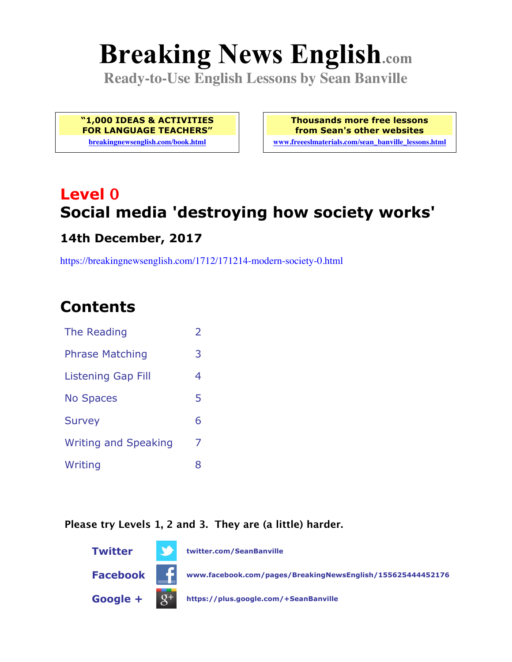# **Breaking News English.com**

**Ready-to-Use English Lessons by Sean Banville**

**"1,000 IDEAS & ACTIVITIES FOR LANGUAGE TEACHERS"**

**breakingnewsenglish.com/book.html**

**Thousands more free lessons from Sean's other websites www.freeeslmaterials.com/sean\_banville\_lessons.html**

# **Level 0 Social media 'destroying how society works'**

#### **14th December, 2017**

https://breakingnewsenglish.com/1712/171214-modern-society-0.html

# **Contents**

| The Reading                 | $\overline{2}$ |
|-----------------------------|----------------|
| <b>Phrase Matching</b>      | 3              |
| Listening Gap Fill          | 4              |
| <b>No Spaces</b>            | 5              |
| <b>Survey</b>               | 6              |
| <b>Writing and Speaking</b> | 7              |
| Writing                     | 8              |
|                             |                |

#### **Please try Levels 1, 2 and 3. They are (a little) harder.**

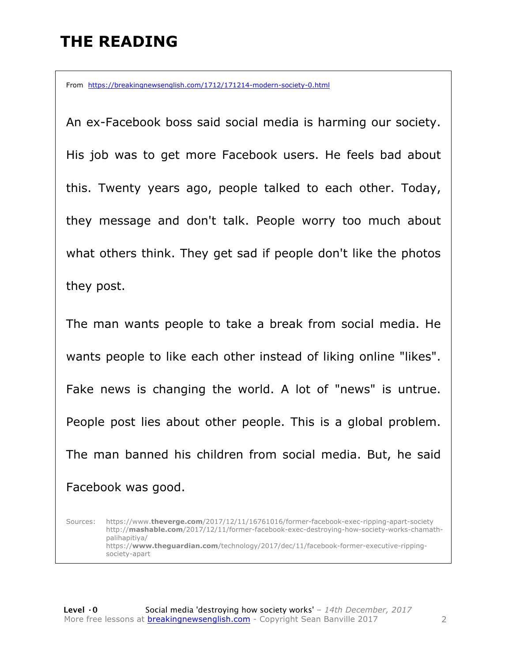# **THE READING**

From https://breakingnewsenglish.com/1712/171214-modern-society-0.html

An ex-Facebook boss said social media is harming our society. His job was to get more Facebook users. He feels bad about this. Twenty years ago, people talked to each other. Today, they message and don't talk. People worry too much about what others think. They get sad if people don't like the photos they post.

The man wants people to take a break from social media. He wants people to like each other instead of liking online "likes". Fake news is changing the world. A lot of "news" is untrue. People post lies about other people. This is a global problem. The man banned his children from social media. But, he said Facebook was good.

Sources: https://www.**theverge.com**/2017/12/11/16761016/former-facebook-exec-ripping-apart-society http://**mashable.com**/2017/12/11/former-facebook-exec-destroying-how-society-works-chamathpalihapitiya/ https://**www.theguardian.com**/technology/2017/dec/11/facebook-former-executive-rippingsociety-apart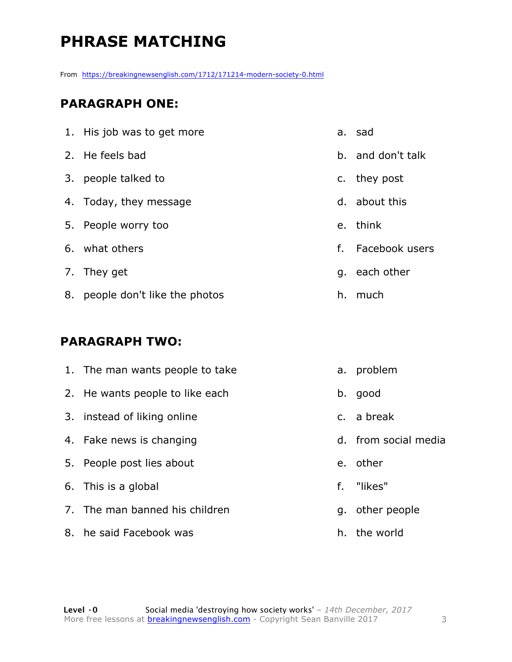# **PHRASE MATCHING**

From https://breakingnewsenglish.com/1712/171214-modern-society-0.html

#### **PARAGRAPH ONE:**

| 1. His job was to get more      |    | a. sad            |
|---------------------------------|----|-------------------|
| 2. He feels bad                 |    | b. and don't talk |
| 3. people talked to             |    | c. they post      |
| 4. Today, they message          |    | d. about this     |
| 5. People worry too             |    | e. think          |
| 6. what others                  | f. | Facebook users    |
| 7. They get                     |    | g. each other     |
| 8. people don't like the photos |    | h. much           |

#### **PARAGRAPH TWO:**

| 1. The man wants people to take | а.      | problem              |
|---------------------------------|---------|----------------------|
| 2. He wants people to like each | b.      | good                 |
| 3. instead of liking online     |         | c. a break           |
| 4. Fake news is changing        |         | d. from social media |
| 5. People post lies about       | $e_{1}$ | other                |
| 6. This is a global             |         | f. "likes"           |
| 7. The man banned his children  |         | g. other people      |
| 8. he said Facebook was         |         | h. the world         |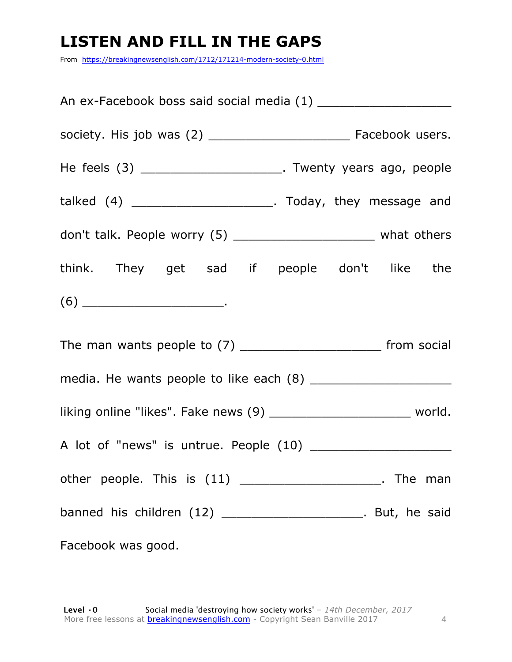# **LISTEN AND FILL IN THE GAPS**

From https://breakingnewsenglish.com/1712/171214-modern-society-0.html

| An ex-Facebook boss said social media (1) ________________________                                                                                                                                                                                                                                                                                                                                         |  |  |  |  |
|------------------------------------------------------------------------------------------------------------------------------------------------------------------------------------------------------------------------------------------------------------------------------------------------------------------------------------------------------------------------------------------------------------|--|--|--|--|
|                                                                                                                                                                                                                                                                                                                                                                                                            |  |  |  |  |
| He feels (3) ___________________________. Twenty years ago, people                                                                                                                                                                                                                                                                                                                                         |  |  |  |  |
| talked $(4)$ __________________________. Today, they message and                                                                                                                                                                                                                                                                                                                                           |  |  |  |  |
| don't talk. People worry (5) ___________________________ what others                                                                                                                                                                                                                                                                                                                                       |  |  |  |  |
| think. They get sad if people don't like the                                                                                                                                                                                                                                                                                                                                                               |  |  |  |  |
| $(6) \begin{tabular}{l} \hline \rule[1em]{1em}{1em} \rule[1em]{1em}{1em} \rule[1em]{1em}{1em} \rule[1em]{1em}{1em} \rule[1em]{1em}{1em} \rule[1em]{1em}{1em} \rule[1em]{1em}{1em} \rule[1em]{1em}{1em} \rule[1em]{1em}{1em} \rule[1em]{1em}{1em} \rule[1em]{1em}{1em} \rule[1em]{1em}{1em} \rule[1em]{1em}{1em} \rule[1em]{1em}{1em} \rule[1em]{1em}{1em} \rule[1em]{1em}{1em} \rule[1em]{1em}{1em} \rule$ |  |  |  |  |
|                                                                                                                                                                                                                                                                                                                                                                                                            |  |  |  |  |
|                                                                                                                                                                                                                                                                                                                                                                                                            |  |  |  |  |
| liking online "likes". Fake news (9) ____________________________ world.                                                                                                                                                                                                                                                                                                                                   |  |  |  |  |
|                                                                                                                                                                                                                                                                                                                                                                                                            |  |  |  |  |
| other people. This is (11) ________________________. The man                                                                                                                                                                                                                                                                                                                                               |  |  |  |  |
| banned his children (12) ________________________. But, he said                                                                                                                                                                                                                                                                                                                                            |  |  |  |  |
| Facebook was good.                                                                                                                                                                                                                                                                                                                                                                                         |  |  |  |  |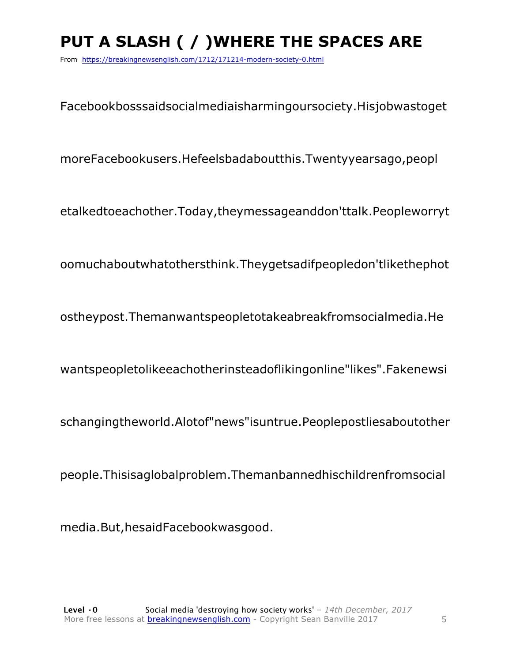# **PUT A SLASH ( / )WHERE THE SPACES ARE**

From https://breakingnewsenglish.com/1712/171214-modern-society-0.html

Facebookbosssaidsocialmediaisharmingoursociety.Hisjobwastoget

moreFacebookusers.Hefeelsbadaboutthis.Twentyyearsago,peopl

etalkedtoeachother.Today,theymessageanddon'ttalk.Peopleworryt

oomuchaboutwhatothersthink.Theygetsadifpeopledon'tlikethephot

ostheypost.Themanwantspeopletotakeabreakfromsocialmedia.He

wantspeopletolikeeachotherinsteadoflikingonline"likes".Fakenewsi

schangingtheworld.Alotof"news"isuntrue.Peoplepostliesaboutother

people.Thisisaglobalproblem.Themanbannedhischildrenfromsocial

media.But,hesaidFacebookwasgood.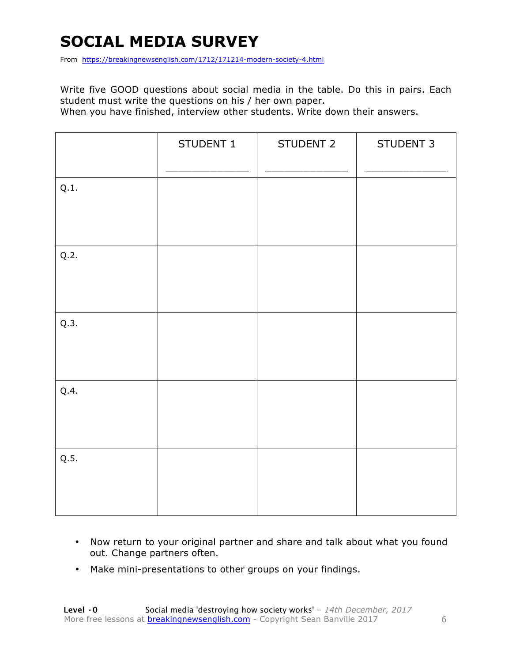# **SOCIAL MEDIA SURVEY**

From https://breakingnewsenglish.com/1712/171214-modern-society-4.html

Write five GOOD questions about social media in the table. Do this in pairs. Each student must write the questions on his / her own paper.

When you have finished, interview other students. Write down their answers.

|      | STUDENT 1 | STUDENT 2 | STUDENT 3 |
|------|-----------|-----------|-----------|
| Q.1. |           |           |           |
| Q.2. |           |           |           |
| Q.3. |           |           |           |
| Q.4. |           |           |           |
| Q.5. |           |           |           |

- Now return to your original partner and share and talk about what you found out. Change partners often.
- Make mini-presentations to other groups on your findings.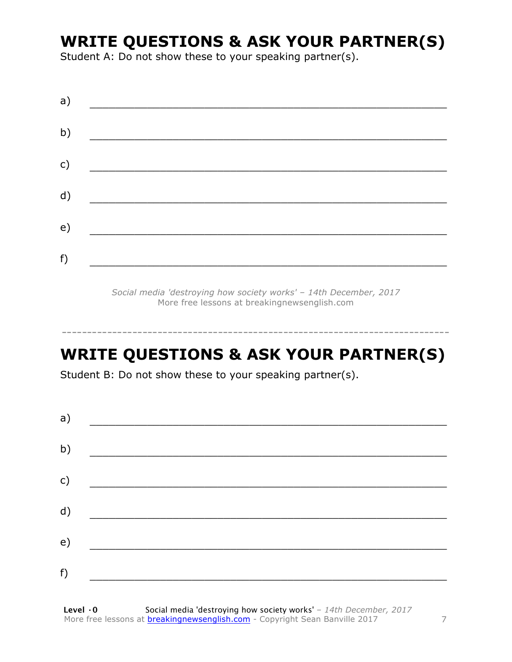# **WRITE QUESTIONS & ASK YOUR PARTNER(S)**

Student A: Do not show these to your speaking partner(s).

*Social media 'destroying how society works' – 14th December, 2017* More free lessons at breakingnewsenglish.com

# **WRITE QUESTIONS & ASK YOUR PARTNER(S)**

-----------------------------------------------------------------------------

Student B: Do not show these to your speaking partner(s).

| a) |  |  |
|----|--|--|
| b) |  |  |
| c) |  |  |
| d) |  |  |
| e) |  |  |
| f) |  |  |
|    |  |  |